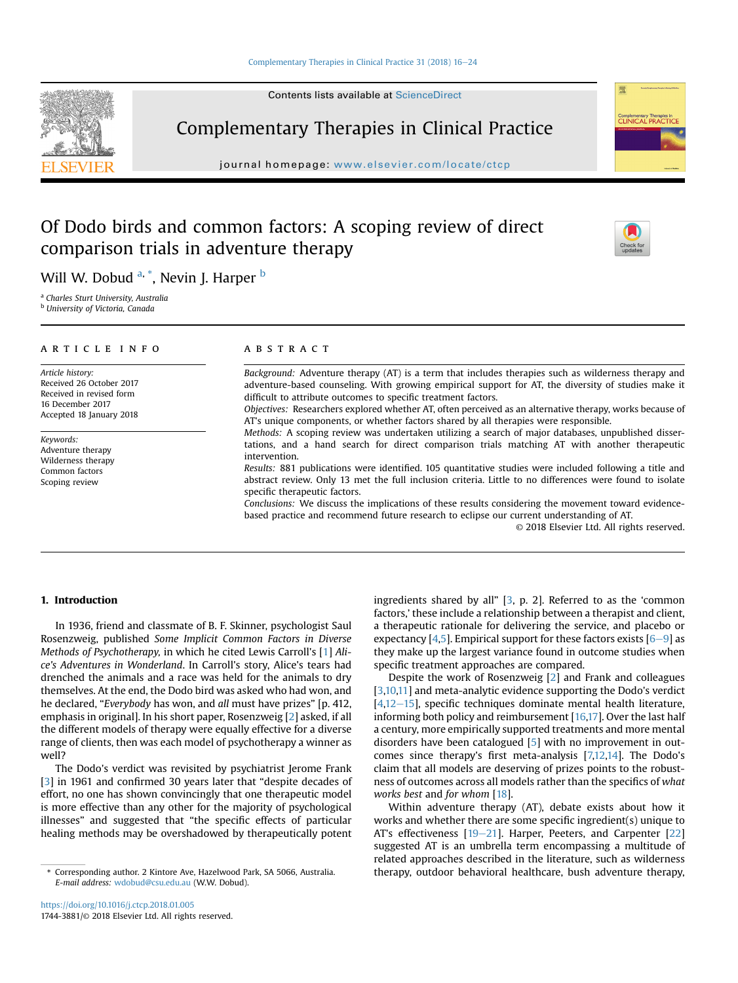#### Complementary Therapies in Clinical Practice 31 (2018)  $16-24$  $16-24$

Contents lists available at ScienceDirect



Complementary Therapies in Clinical Practice

journal homepage: [www.elsevier.com/locate/ctcp](http://www.elsevier.com/locate/ctcp)



# Of Dodo birds and common factors: A scoping review of direct comparison trials in adventure therapy



Will W. Dobud <sup>a, \*</sup>, Nevin J. Harper <sup>b</sup>

<sup>a</sup> Charles Sturt University, Australia **b** University of Victoria, Canada

#### article info

Article history: Received 26 October 2017 Received in revised form 16 December 2017 Accepted 18 January 2018

Keywords: Adventure therapy Wilderness therapy Common factors Scoping review

## ABSTRACT

Background: Adventure therapy (AT) is a term that includes therapies such as wilderness therapy and adventure-based counseling. With growing empirical support for AT, the diversity of studies make it difficult to attribute outcomes to specific treatment factors.

Objectives: Researchers explored whether AT, often perceived as an alternative therapy, works because of AT's unique components, or whether factors shared by all therapies were responsible.

Methods: A scoping review was undertaken utilizing a search of major databases, unpublished dissertations, and a hand search for direct comparison trials matching AT with another therapeutic intervention.

Results: 881 publications were identified. 105 quantitative studies were included following a title and abstract review. Only 13 met the full inclusion criteria. Little to no differences were found to isolate specific therapeutic factors.

Conclusions: We discuss the implications of these results considering the movement toward evidencebased practice and recommend future research to eclipse our current understanding of AT.

© 2018 Elsevier Ltd. All rights reserved.

## 1. Introduction

In 1936, friend and classmate of B. F. Skinner, psychologist Saul Rosenzweig, published Some Implicit Common Factors in Diverse Methods of Psychotherapy, in which he cited Lewis Carroll's [[1](#page-6-0)] Alice's Adventures in Wonderland. In Carroll's story, Alice's tears had drenched the animals and a race was held for the animals to dry themselves. At the end, the Dodo bird was asked who had won, and he declared, "Everybody has won, and all must have prizes" [p. 412, emphasis in original]. In his short paper, Rosenzweig [\[2\]](#page-7-0) asked, if all the different models of therapy were equally effective for a diverse range of clients, then was each model of psychotherapy a winner as well?

The Dodo's verdict was revisited by psychiatrist Jerome Frank [[3](#page-7-0)] in 1961 and confirmed 30 years later that "despite decades of effort, no one has shown convincingly that one therapeutic model is more effective than any other for the majority of psychological illnesses" and suggested that "the specific effects of particular healing methods may be overshadowed by therapeutically potent ingredients shared by all" [\[3,](#page-7-0) p. 2]. Referred to as the 'common factors,' these include a relationship between a therapist and client, a therapeutic rationale for delivering the service, and placebo or expectancy [\[4,5](#page-7-0)]. Empirical support for these factors exists  $[6-9]$  $[6-9]$  $[6-9]$  $[6-9]$  as they make up the largest variance found in outcome studies when specific treatment approaches are compared.

Despite the work of Rosenzweig [\[2](#page-7-0)] and Frank and colleagues [[3,10,11\]](#page-7-0) and meta-analytic evidence supporting the Dodo's verdict  $[4,12-15]$  $[4,12-15]$  $[4,12-15]$  $[4,12-15]$ , specific techniques dominate mental health literature, informing both policy and reimbursement [[16,17\]](#page-7-0). Over the last half a century, more empirically supported treatments and more mental disorders have been catalogued [[5](#page-7-0)] with no improvement in outcomes since therapy's first meta-analysis [\[7,12,14\]](#page-7-0). The Dodo's claim that all models are deserving of prizes points to the robustness of outcomes across all models rather than the specifics of what works best and for whom [[18](#page-7-0)].

Within adventure therapy (AT), debate exists about how it works and whether there are some specific ingredient(s) unique to AT's effectiveness  $[19-21]$  $[19-21]$  $[19-21]$ . Harper, Peeters, and Carpenter  $[22]$ suggested AT is an umbrella term encompassing a multitude of related approaches described in the literature, such as wilderness \* Corresponding author. 2 Kintore Ave, Hazelwood Park, SA 5066, Australia. therapy, outdoor behavioral healthcare, bush adventure therapy,

E-mail address: [wdobud@csu.edu.au](mailto:wdobud@csu.edu.au) (W.W. Dobud).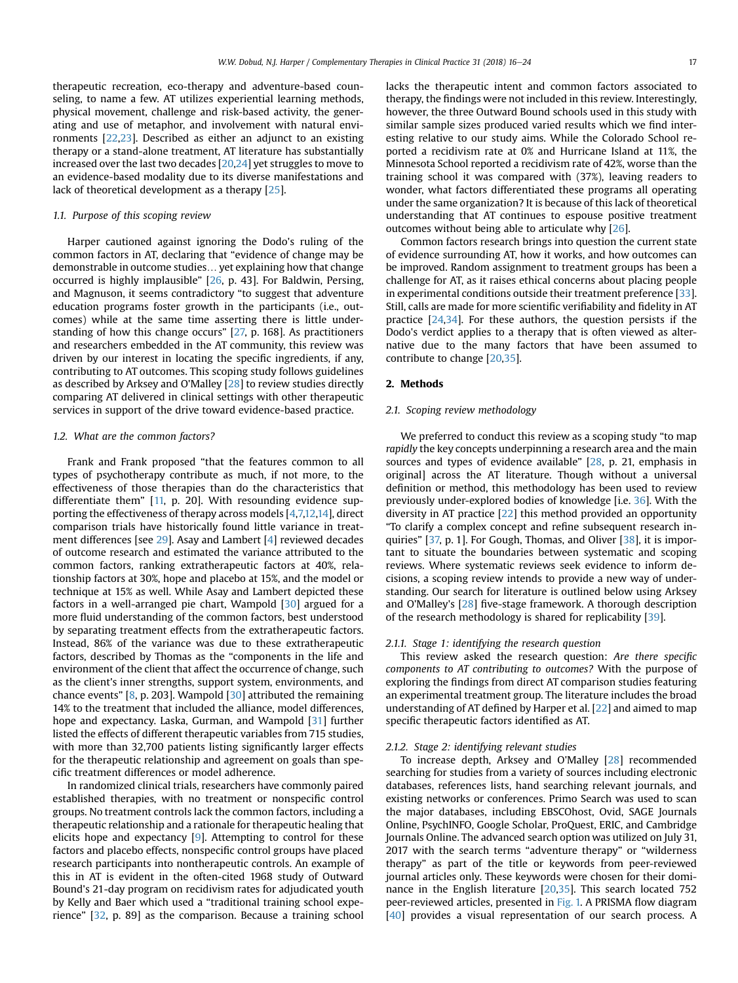therapeutic recreation, eco-therapy and adventure-based counseling, to name a few. AT utilizes experiential learning methods, physical movement, challenge and risk-based activity, the generating and use of metaphor, and involvement with natural environments [[22,23\]](#page-7-0). Described as either an adjunct to an existing therapy or a stand-alone treatment, AT literature has substantially increased over the last two decades [\[20,24\]](#page-7-0) yet struggles to move to an evidence-based modality due to its diverse manifestations and lack of theoretical development as a therapy [[25](#page-7-0)].

#### 1.1. Purpose of this scoping review

Harper cautioned against ignoring the Dodo's ruling of the common factors in AT, declaring that "evidence of change may be demonstrable in outcome studies… yet explaining how that change occurred is highly implausible" [\[26,](#page-7-0) p. 43]. For Baldwin, Persing, and Magnuson, it seems contradictory "to suggest that adventure education programs foster growth in the participants (i.e., outcomes) while at the same time asserting there is little understanding of how this change occurs" [[27,](#page-7-0) p. 168]. As practitioners and researchers embedded in the AT community, this review was driven by our interest in locating the specific ingredients, if any, contributing to AT outcomes. This scoping study follows guidelines as described by Arksey and O'Malley [\[28\]](#page-7-0) to review studies directly comparing AT delivered in clinical settings with other therapeutic services in support of the drive toward evidence-based practice.

#### 1.2. What are the common factors?

Frank and Frank proposed "that the features common to all types of psychotherapy contribute as much, if not more, to the effectiveness of those therapies than do the characteristics that differentiate them" [\[11,](#page-7-0) p. 20]. With resounding evidence supporting the effectiveness of therapy across models [[4,7,12,14](#page-7-0)], direct comparison trials have historically found little variance in treatment differences [see [29\]](#page-7-0). Asay and Lambert [[4\]](#page-7-0) reviewed decades of outcome research and estimated the variance attributed to the common factors, ranking extratherapeutic factors at 40%, relationship factors at 30%, hope and placebo at 15%, and the model or technique at 15% as well. While Asay and Lambert depicted these factors in a well-arranged pie chart, Wampold [[30](#page-7-0)] argued for a more fluid understanding of the common factors, best understood by separating treatment effects from the extratherapeutic factors. Instead, 86% of the variance was due to these extratherapeutic factors, described by Thomas as the "components in the life and environment of the client that affect the occurrence of change, such as the client's inner strengths, support system, environments, and chance events" [\[8](#page-7-0), p. 203]. Wampold [[30](#page-7-0)] attributed the remaining 14% to the treatment that included the alliance, model differences, hope and expectancy. Laska, Gurman, and Wampold [[31\]](#page-7-0) further listed the effects of different therapeutic variables from 715 studies, with more than 32,700 patients listing significantly larger effects for the therapeutic relationship and agreement on goals than specific treatment differences or model adherence.

In randomized clinical trials, researchers have commonly paired established therapies, with no treatment or nonspecific control groups. No treatment controls lack the common factors, including a therapeutic relationship and a rationale for therapeutic healing that elicits hope and expectancy  $[9]$  $[9]$ . Attempting to control for these factors and placebo effects, nonspecific control groups have placed research participants into nontherapeutic controls. An example of this in AT is evident in the often-cited 1968 study of Outward Bound's 21-day program on recidivism rates for adjudicated youth by Kelly and Baer which used a "traditional training school experience" [[32](#page-7-0), p. 89] as the comparison. Because a training school

lacks the therapeutic intent and common factors associated to therapy, the findings were not included in this review. Interestingly, however, the three Outward Bound schools used in this study with similar sample sizes produced varied results which we find interesting relative to our study aims. While the Colorado School reported a recidivism rate at 0% and Hurricane Island at 11%, the Minnesota School reported a recidivism rate of 42%, worse than the training school it was compared with (37%), leaving readers to wonder, what factors differentiated these programs all operating under the same organization? It is because of this lack of theoretical understanding that AT continues to espouse positive treatment outcomes without being able to articulate why [[26](#page-7-0)].

Common factors research brings into question the current state of evidence surrounding AT, how it works, and how outcomes can be improved. Random assignment to treatment groups has been a challenge for AT, as it raises ethical concerns about placing people in experimental conditions outside their treatment preference [\[33\]](#page-7-0). Still, calls are made for more scientific verifiability and fidelity in AT practice [[24](#page-7-0),[34](#page-7-0)]. For these authors, the question persists if the Dodo's verdict applies to a therapy that is often viewed as alternative due to the many factors that have been assumed to contribute to change [[20](#page-7-0),[35](#page-7-0)].

#### 2. Methods

#### 2.1. Scoping review methodology

We preferred to conduct this review as a scoping study "to map rapidly the key concepts underpinning a research area and the main sources and types of evidence available" [\[28,](#page-7-0) p. 21, emphasis in original] across the AT literature. Though without a universal definition or method, this methodology has been used to review previously under-explored bodies of knowledge [i.e. [36](#page-7-0)]. With the diversity in AT practice [\[22](#page-7-0)] this method provided an opportunity "To clarify a complex concept and refine subsequent research inquiries" [\[37,](#page-7-0) p. 1]. For Gough, Thomas, and Oliver [\[38\]](#page-7-0), it is important to situate the boundaries between systematic and scoping reviews. Where systematic reviews seek evidence to inform decisions, a scoping review intends to provide a new way of understanding. Our search for literature is outlined below using Arksey and O'Malley's [[28](#page-7-0)] five-stage framework. A thorough description of the research methodology is shared for replicability [\[39\]](#page-7-0).

#### 2.1.1. Stage 1: identifying the research question

This review asked the research question: Are there specific components to AT contributing to outcomes? With the purpose of exploring the findings from direct AT comparison studies featuring an experimental treatment group. The literature includes the broad understanding of AT defined by Harper et al. [[22](#page-7-0)] and aimed to map specific therapeutic factors identified as AT.

#### 2.1.2. Stage 2: identifying relevant studies

To increase depth, Arksey and O'Malley [[28](#page-7-0)] recommended searching for studies from a variety of sources including electronic databases, references lists, hand searching relevant journals, and existing networks or conferences. Primo Search was used to scan the major databases, including EBSCOhost, Ovid, SAGE Journals Online, PsychINFO, Google Scholar, ProQuest, ERIC, and Cambridge Journals Online. The advanced search option was utilized on July 31, 2017 with the search terms "adventure therapy" or "wilderness therapy" as part of the title or keywords from peer-reviewed journal articles only. These keywords were chosen for their dominance in the English literature [\[20,35](#page-7-0)]. This search located 752 peer-reviewed articles, presented in [Fig. 1.](#page-2-0) A PRISMA flow diagram [\[40\]](#page-7-0) provides a visual representation of our search process. A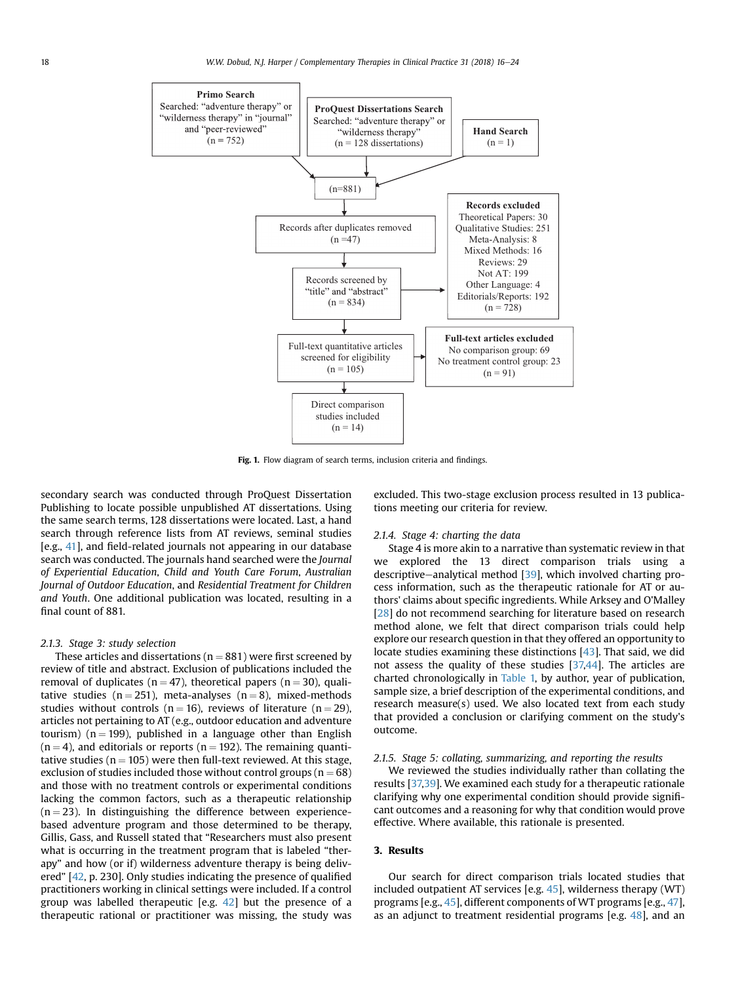<span id="page-2-0"></span>

Fig. 1. Flow diagram of search terms, inclusion criteria and findings.

secondary search was conducted through ProQuest Dissertation Publishing to locate possible unpublished AT dissertations. Using the same search terms, 128 dissertations were located. Last, a hand search through reference lists from AT reviews, seminal studies [e.g., [41](#page-7-0)], and field-related journals not appearing in our database search was conducted. The journals hand searched were the Journal of Experiential Education, Child and Youth Care Forum, Australian Journal of Outdoor Education, and Residential Treatment for Children and Youth. One additional publication was located, resulting in a final count of 881.

#### 2.1.3. Stage 3: study selection

These articles and dissertations ( $n = 881$ ) were first screened by review of title and abstract. Exclusion of publications included the removal of duplicates ( $n = 47$ ), theoretical papers ( $n = 30$ ), qualitative studies  $(n = 251)$ , meta-analyses  $(n = 8)$ , mixed-methods studies without controls (n = 16), reviews of literature (n = 29), articles not pertaining to AT (e.g., outdoor education and adventure tourism) ( $n = 199$ ), published in a language other than English  $(n = 4)$ , and editorials or reports  $(n = 192)$ . The remaining quantitative studies ( $n = 105$ ) were then full-text reviewed. At this stage, exclusion of studies included those without control groups ( $n = 68$ ) and those with no treatment controls or experimental conditions lacking the common factors, such as a therapeutic relationship  $(n = 23)$ . In distinguishing the difference between experiencebased adventure program and those determined to be therapy, Gillis, Gass, and Russell stated that "Researchers must also present what is occurring in the treatment program that is labeled "therapy" and how (or if) wilderness adventure therapy is being delivered" [\[42,](#page-7-0) p. 230]. Only studies indicating the presence of qualified practitioners working in clinical settings were included. If a control group was labelled therapeutic [e.g. [42](#page-7-0)] but the presence of a therapeutic rational or practitioner was missing, the study was excluded. This two-stage exclusion process resulted in 13 publications meeting our criteria for review.

#### 2.1.4. Stage 4: charting the data

Stage 4 is more akin to a narrative than systematic review in that we explored the 13 direct comparison trials using a descriptive-analytical method [[39](#page-7-0)], which involved charting process information, such as the therapeutic rationale for AT or authors' claims about specific ingredients. While Arksey and O'Malley [[28](#page-7-0)] do not recommend searching for literature based on research method alone, we felt that direct comparison trials could help explore our research question in that they offered an opportunity to locate studies examining these distinctions [[43](#page-7-0)]. That said, we did not assess the quality of these studies [\[37,44\]](#page-7-0). The articles are charted chronologically in [Table 1,](#page-3-0) by author, year of publication, sample size, a brief description of the experimental conditions, and research measure(s) used. We also located text from each study that provided a conclusion or clarifying comment on the study's outcome.

#### 2.1.5. Stage 5: collating, summarizing, and reporting the results

We reviewed the studies individually rather than collating the results [[37,39\]](#page-7-0). We examined each study for a therapeutic rationale clarifying why one experimental condition should provide significant outcomes and a reasoning for why that condition would prove effective. Where available, this rationale is presented.

### 3. Results

Our search for direct comparison trials located studies that included outpatient AT services [e.g. [45\]](#page-7-0), wilderness therapy (WT) programs [e.g., [45](#page-7-0)], different components of WT programs [e.g., [47](#page-7-0)], as an adjunct to treatment residential programs [e.g. [48](#page-7-0)], and an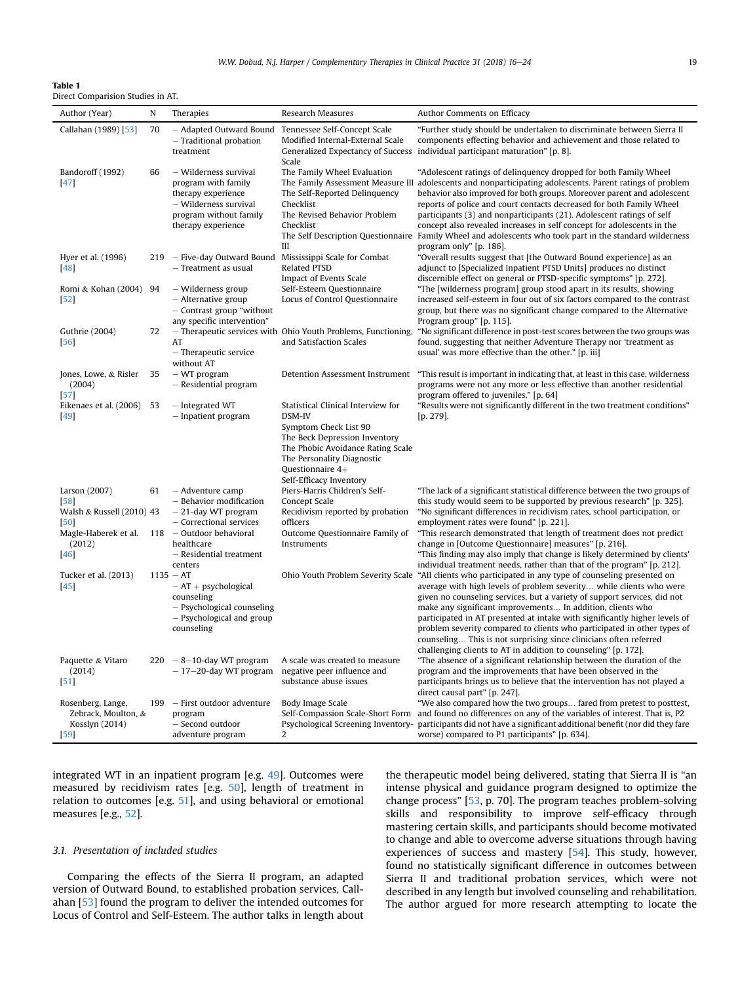<span id="page-3-0"></span>

| Table 1                           |  |  |
|-----------------------------------|--|--|
| Direct Comparision Studies in AT. |  |  |

| Author (Year)                                                             | N   | <b>Therapies</b>                                                                                                                            | Research Measures                                                                                                                                                                                                        | Author Comments on Efficacy                                                                                                                                                                                                                                                                                                                                                                                                                                                                                                                                                           |
|---------------------------------------------------------------------------|-----|---------------------------------------------------------------------------------------------------------------------------------------------|--------------------------------------------------------------------------------------------------------------------------------------------------------------------------------------------------------------------------|---------------------------------------------------------------------------------------------------------------------------------------------------------------------------------------------------------------------------------------------------------------------------------------------------------------------------------------------------------------------------------------------------------------------------------------------------------------------------------------------------------------------------------------------------------------------------------------|
| Callahan (1989) [53]                                                      | 70  | - Traditional probation<br>treatment                                                                                                        | - Adapted Outward Bound Tennessee Self-Concept Scale<br>Modified Internal-External Scale<br>Scale                                                                                                                        | "Further study should be undertaken to discriminate between Sierra II<br>components effecting behavior and achievement and those related to<br>Generalized Expectancy of Success individual participant maturation" [p. 8].                                                                                                                                                                                                                                                                                                                                                           |
| Bandoroff (1992)<br>$[47]$                                                | 66  | - Wilderness survival<br>program with family<br>therapy experience<br>- Wilderness survival<br>program without family<br>therapy experience | The Family Wheel Evaluation<br>The Family Assessment Measure III<br>The Self-Reported Delinquency<br>Checklist<br>The Revised Behavior Problem<br>Checklist<br>The Self Description Questionnaire<br>III                 | "Adolescent ratings of delinquency dropped for both Family Wheel<br>adolescents and nonparticipating adolescents. Parent ratings of problem<br>behavior also improved for both groups. Moreover parent and adolescent<br>reports of police and court contacts decreased for both Family Wheel<br>participants (3) and nonparticipants (21). Adolescent ratings of self<br>concept also revealed increases in self concept for adolescents in the<br>Family Wheel and adolescents who took part in the standard wilderness<br>program only" [p. 186].                                  |
| Hyer et al. (1996)<br>$[48]$                                              | 219 | - Five-day Outward Bound<br>- Treatment as usual                                                                                            | Mississippi Scale for Combat<br><b>Related PTSD</b><br>Impact of Events Scale                                                                                                                                            | "Overall results suggest that [the Outward Bound experience] as an<br>adjunct to [Specialized Inpatient PTSD Units] produces no distinct<br>discernible effect on general or PTSD-specific symptoms" [p. 272].                                                                                                                                                                                                                                                                                                                                                                        |
| Romi & Kohan (2004) 94<br>[52]                                            |     | - Wilderness group<br>- Alternative group<br>- Contrast group "without<br>any specific intervention"                                        | Self-Esteem Questionnaire<br>Locus of Control Questionnaire                                                                                                                                                              | "The [wilderness program] group stood apart in its results, showing<br>increased self-esteem in four out of six factors compared to the contrast<br>group, but there was no significant change compared to the Alternative<br>Program group" [p. 115].                                                                                                                                                                                                                                                                                                                                |
| Guthrie (2004)<br>[56]                                                    | 72  | AT<br>$-$ Therapeutic service<br>without AT                                                                                                 | - Therapeutic services with Ohio Youth Problems, Functioning,<br>and Satisfaction Scales                                                                                                                                 | "No significant difference in post-test scores between the two groups was<br>found, suggesting that neither Adventure Therapy nor 'treatment as<br>usual' was more effective than the other." [p. iii]                                                                                                                                                                                                                                                                                                                                                                                |
| Jones, Lowe, & Risler<br>(2004)<br>$[57]$                                 | 35  | $-$ WT program<br>$-$ Residential program                                                                                                   | Detention Assessment Instrument                                                                                                                                                                                          | "This result is important in indicating that, at least in this case, wilderness<br>programs were not any more or less effective than another residential<br>program offered to juveniles." [p. 64]                                                                                                                                                                                                                                                                                                                                                                                    |
| Eikenaes et al. (2006) 53<br>$[49]$                                       |     | $-$ Integrated WT<br>$-$ Inpatient program                                                                                                  | Statistical Clinical Interview for<br>DSM-IV<br>Symptom Check List 90<br>The Beck Depression Inventory<br>The Phobic Avoidance Rating Scale<br>The Personality Diagnostic<br>Questionnaire 4+<br>Self-Efficacy Inventory | "Results were not significantly different in the two treatment conditions"<br>[p. 279].                                                                                                                                                                                                                                                                                                                                                                                                                                                                                               |
| Larson (2007)<br>$[58]$<br>Walsh & Russell (2010) 43                      | 61  | - Adventure camp<br>- Behavior modification<br>$-21$ -day WT program                                                                        | Piers-Harris Children's Self-<br>Concept Scale<br>Recidivism reported by probation<br>officers                                                                                                                           | "The lack of a significant statistical difference between the two groups of<br>this study would seem to be supported by previous research" [p. 325].<br>"No significant differences in recidivism rates, school participation, or                                                                                                                                                                                                                                                                                                                                                     |
| [50]<br>Magle-Haberek et al. 118 - Outdoor behavioral<br>(2012)<br>$[46]$ |     | - Correctional services<br>healthcare<br>- Residential treatment<br>centers                                                                 | Outcome Questionnaire Family of<br>Instruments                                                                                                                                                                           | employment rates were found" [p. 221].<br>"This research demonstrated that length of treatment does not predict<br>change in [Outcome Questionnaire] measures" [p. 216].<br>"This finding may also imply that change is likely determined by clients"<br>individual treatment needs, rather than that of the program" [p. 212].                                                                                                                                                                                                                                                       |
| Tucker et al. (2013)<br>$[45]$                                            |     | $1135 - AT$<br>$- AT + psychologyical$<br>counseling<br>- Psychological counseling<br>- Psychological and group<br>counseling               | Ohio Youth Problem Severity Scale                                                                                                                                                                                        | "All clients who participated in any type of counseling presented on<br>average with high levels of problem severity while clients who were<br>given no counseling services, but a variety of support services, did not<br>make any significant improvements In addition, clients who<br>participated in AT presented at intake with significantly higher levels of<br>problem severity compared to clients who participated in other types of<br>counseling This is not surprising since clinicians often referred<br>challenging clients to AT in addition to counseling" [p. 172]. |
| Paquette & Vitaro<br>(2014)<br>$[51]$                                     |     | $220 - 8 - 10$ -day WT program<br>$-17-20$ -day WT program                                                                                  | A scale was created to measure<br>negative peer influence and<br>substance abuse issues                                                                                                                                  | "The absence of a significant relationship between the duration of the<br>program and the improvements that have been observed in the<br>participants brings us to believe that the intervention has not played a<br>direct causal part" [p. 247].                                                                                                                                                                                                                                                                                                                                    |
| Rosenberg, Lange,<br>Zebrack, Moulton, &<br>Kosslyn (2014)<br>$[59]$      | 199 | - First outdoor adventure<br>program<br>- Second outdoor<br>adventure program                                                               | Body Image Scale<br>Self-Compassion Scale-Short Form<br>Psychological Screening Inventory-<br>$\overline{c}$                                                                                                             | "We also compared how the two groups fared from pretest to posttest,<br>and found no differences on any of the variables of interest. That is, P2<br>participants did not have a significant additional benefit (nor did they fare<br>worse) compared to P1 participants" [p. 634].                                                                                                                                                                                                                                                                                                   |

integrated WT in an inpatient program [e.g. [49\]](#page-7-0). Outcomes were measured by recidivism rates [e.g. [50\]](#page-7-0), length of treatment in relation to outcomes [e.g. [51\]](#page-7-0), and using behavioral or emotional measures [e.g., [52](#page-7-0)].

## 3.1. Presentation of included studies

Comparing the effects of the Sierra II program, an adapted version of Outward Bound, to established probation services, Callahan [\[53\]](#page-7-0) found the program to deliver the intended outcomes for Locus of Control and Self-Esteem. The author talks in length about the therapeutic model being delivered, stating that Sierra II is "an intense physical and guidance program designed to optimize the change process" [\[53,](#page-7-0) p. 70]. The program teaches problem-solving skills and responsibility to improve self-efficacy through mastering certain skills, and participants should become motivated to change and able to overcome adverse situations through having experiences of success and mastery [\[54\]](#page-7-0). This study, however, found no statistically significant difference in outcomes between Sierra II and traditional probation services, which were not described in any length but involved counseling and rehabilitation. The author argued for more research attempting to locate the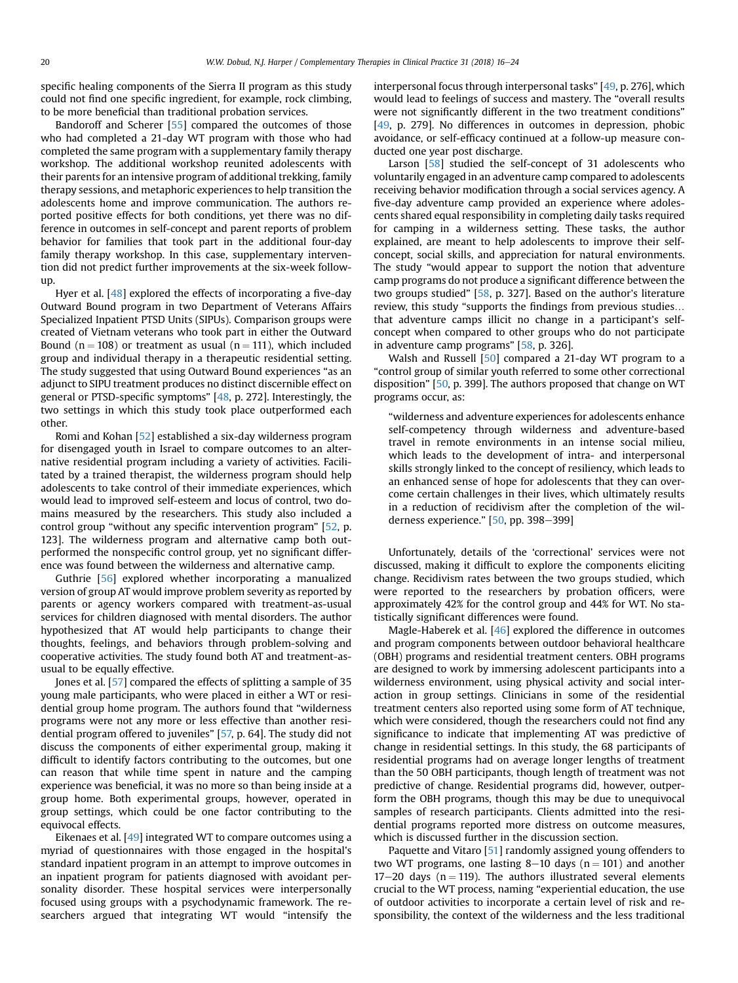specific healing components of the Sierra II program as this study could not find one specific ingredient, for example, rock climbing, to be more beneficial than traditional probation services.

Bandoroff and Scherer [\[55\]](#page-7-0) compared the outcomes of those who had completed a 21-day WT program with those who had completed the same program with a supplementary family therapy workshop. The additional workshop reunited adolescents with their parents for an intensive program of additional trekking, family therapy sessions, and metaphoric experiences to help transition the adolescents home and improve communication. The authors reported positive effects for both conditions, yet there was no difference in outcomes in self-concept and parent reports of problem behavior for families that took part in the additional four-day family therapy workshop. In this case, supplementary intervention did not predict further improvements at the six-week followup.

Hyer et al. [\[48](#page-7-0)] explored the effects of incorporating a five-day Outward Bound program in two Department of Veterans Affairs Specialized Inpatient PTSD Units (SIPUs). Comparison groups were created of Vietnam veterans who took part in either the Outward Bound (n = 108) or treatment as usual (n = 111), which included group and individual therapy in a therapeutic residential setting. The study suggested that using Outward Bound experiences "as an adjunct to SIPU treatment produces no distinct discernible effect on general or PTSD-specific symptoms" [\[48,](#page-7-0) p. 272]. Interestingly, the two settings in which this study took place outperformed each other.

Romi and Kohan [\[52\]](#page-7-0) established a six-day wilderness program for disengaged youth in Israel to compare outcomes to an alternative residential program including a variety of activities. Facilitated by a trained therapist, the wilderness program should help adolescents to take control of their immediate experiences, which would lead to improved self-esteem and locus of control, two domains measured by the researchers. This study also included a control group "without any specific intervention program" [[52](#page-7-0), p. 123]. The wilderness program and alternative camp both outperformed the nonspecific control group, yet no significant difference was found between the wilderness and alternative camp.

Guthrie [[56\]](#page-7-0) explored whether incorporating a manualized version of group AT would improve problem severity as reported by parents or agency workers compared with treatment-as-usual services for children diagnosed with mental disorders. The author hypothesized that AT would help participants to change their thoughts, feelings, and behaviors through problem-solving and cooperative activities. The study found both AT and treatment-asusual to be equally effective.

Jones et al. [\[57\]](#page-7-0) compared the effects of splitting a sample of 35 young male participants, who were placed in either a WT or residential group home program. The authors found that "wilderness programs were not any more or less effective than another residential program offered to juveniles" [\[57,](#page-7-0) p. 64]. The study did not discuss the components of either experimental group, making it difficult to identify factors contributing to the outcomes, but one can reason that while time spent in nature and the camping experience was beneficial, it was no more so than being inside at a group home. Both experimental groups, however, operated in group settings, which could be one factor contributing to the equivocal effects.

Eikenaes et al. [[49](#page-7-0)] integrated WT to compare outcomes using a myriad of questionnaires with those engaged in the hospital's standard inpatient program in an attempt to improve outcomes in an inpatient program for patients diagnosed with avoidant personality disorder. These hospital services were interpersonally focused using groups with a psychodynamic framework. The researchers argued that integrating WT would "intensify the interpersonal focus through interpersonal tasks" [\[49,](#page-7-0) p. 276], which would lead to feelings of success and mastery. The "overall results were not significantly different in the two treatment conditions" [[49](#page-7-0), p. 279]. No differences in outcomes in depression, phobic avoidance, or self-efficacy continued at a follow-up measure conducted one year post discharge.

Larson [\[58\]](#page-7-0) studied the self-concept of 31 adolescents who voluntarily engaged in an adventure camp compared to adolescents receiving behavior modification through a social services agency. A five-day adventure camp provided an experience where adolescents shared equal responsibility in completing daily tasks required for camping in a wilderness setting. These tasks, the author explained, are meant to help adolescents to improve their selfconcept, social skills, and appreciation for natural environments. The study "would appear to support the notion that adventure camp programs do not produce a significant difference between the two groups studied" [[58](#page-7-0), p. 327]. Based on the author's literature review, this study "supports the findings from previous studies… that adventure camps illicit no change in a participant's selfconcept when compared to other groups who do not participate in adventure camp programs" [[58](#page-7-0), p. 326].

Walsh and Russell [[50](#page-7-0)] compared a 21-day WT program to a "control group of similar youth referred to some other correctional disposition" [\[50,](#page-7-0) p. 399]. The authors proposed that change on WT programs occur, as:

"wilderness and adventure experiences for adolescents enhance self-competency through wilderness and adventure-based travel in remote environments in an intense social milieu, which leads to the development of intra- and interpersonal skills strongly linked to the concept of resiliency, which leads to an enhanced sense of hope for adolescents that they can overcome certain challenges in their lives, which ultimately results in a reduction of recidivism after the completion of the wilderness experience."  $[50, pp. 398-399]$  $[50, pp. 398-399]$ 

Unfortunately, details of the 'correctional' services were not discussed, making it difficult to explore the components eliciting change. Recidivism rates between the two groups studied, which were reported to the researchers by probation officers, were approximately 42% for the control group and 44% for WT. No statistically significant differences were found.

Magle-Haberek et al. [\[46\]](#page-7-0) explored the difference in outcomes and program components between outdoor behavioral healthcare (OBH) programs and residential treatment centers. OBH programs are designed to work by immersing adolescent participants into a wilderness environment, using physical activity and social interaction in group settings. Clinicians in some of the residential treatment centers also reported using some form of AT technique, which were considered, though the researchers could not find any significance to indicate that implementing AT was predictive of change in residential settings. In this study, the 68 participants of residential programs had on average longer lengths of treatment than the 50 OBH participants, though length of treatment was not predictive of change. Residential programs did, however, outperform the OBH programs, though this may be due to unequivocal samples of research participants. Clients admitted into the residential programs reported more distress on outcome measures, which is discussed further in the discussion section.

Paquette and Vitaro [[51\]](#page-7-0) randomly assigned young offenders to two WT programs, one lasting 8–10 days ( $n = 101$ ) and another  $17-20$  days (n = 119). The authors illustrated several elements crucial to the WT process, naming "experiential education, the use of outdoor activities to incorporate a certain level of risk and responsibility, the context of the wilderness and the less traditional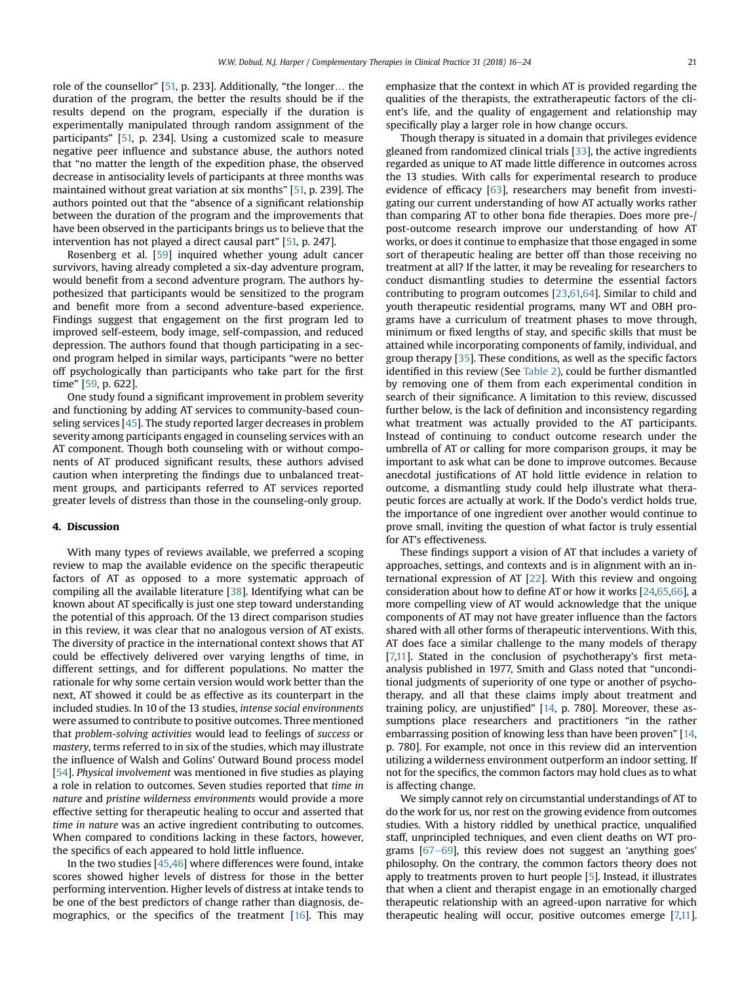role of the counsellor" [\[51,](#page-7-0) p. 233]. Additionally, "the longer… the duration of the program, the better the results should be if the results depend on the program, especially if the duration is experimentally manipulated through random assignment of the participants" [\[51,](#page-7-0) p. 234]. Using a customized scale to measure negative peer influence and substance abuse, the authors noted that "no matter the length of the expedition phase, the observed decrease in antisociality levels of participants at three months was maintained without great variation at six months" [\[51,](#page-7-0) p. 239]. The authors pointed out that the "absence of a significant relationship between the duration of the program and the improvements that have been observed in the participants brings us to believe that the intervention has not played a direct causal part" [[51,](#page-7-0) p. 247].

Rosenberg et al. [\[59\]](#page-7-0) inquired whether young adult cancer survivors, having already completed a six-day adventure program, would benefit from a second adventure program. The authors hypothesized that participants would be sensitized to the program and benefit more from a second adventure-based experience. Findings suggest that engagement on the first program led to improved self-esteem, body image, self-compassion, and reduced depression. The authors found that though participating in a second program helped in similar ways, participants "were no better off psychologically than participants who take part for the first time" [[59](#page-7-0), p. 622].

One study found a significant improvement in problem severity and functioning by adding AT services to community-based counseling services [\[45\]](#page-7-0). The study reported larger decreases in problem severity among participants engaged in counseling services with an AT component. Though both counseling with or without components of AT produced significant results, these authors advised caution when interpreting the findings due to unbalanced treatment groups, and participants referred to AT services reported greater levels of distress than those in the counseling-only group.

#### 4. Discussion

With many types of reviews available, we preferred a scoping review to map the available evidence on the specific therapeutic factors of AT as opposed to a more systematic approach of compiling all the available literature [[38](#page-7-0)]. Identifying what can be known about AT specifically is just one step toward understanding the potential of this approach. Of the 13 direct comparison studies in this review, it was clear that no analogous version of AT exists. The diversity of practice in the international context shows that AT could be effectively delivered over varying lengths of time, in different settings, and for different populations. No matter the rationale for why some certain version would work better than the next, AT showed it could be as effective as its counterpart in the included studies. In 10 of the 13 studies, intense social environments were assumed to contribute to positive outcomes. Three mentioned that problem-solving activities would lead to feelings of success or mastery, terms referred to in six of the studies, which may illustrate the influence of Walsh and Golins' Outward Bound process model [\[54\]](#page-7-0). Physical involvement was mentioned in five studies as playing a role in relation to outcomes. Seven studies reported that time in nature and pristine wilderness environments would provide a more effective setting for therapeutic healing to occur and asserted that time in nature was an active ingredient contributing to outcomes. When compared to conditions lacking in these factors, however, the specifics of each appeared to hold little influence.

In the two studies  $[45,46]$  $[45,46]$  where differences were found, intake scores showed higher levels of distress for those in the better performing intervention. Higher levels of distress at intake tends to be one of the best predictors of change rather than diagnosis, demographics, or the specifics of the treatment [[16\]](#page-7-0). This may emphasize that the context in which AT is provided regarding the qualities of the therapists, the extratherapeutic factors of the client's life, and the quality of engagement and relationship may specifically play a larger role in how change occurs.

Though therapy is situated in a domain that privileges evidence gleaned from randomized clinical trials [\[33\]](#page-7-0), the active ingredients regarded as unique to AT made little difference in outcomes across the 13 studies. With calls for experimental research to produce evidence of efficacy [[63](#page-7-0)], researchers may benefit from investigating our current understanding of how AT actually works rather than comparing AT to other bona fide therapies. Does more pre-/ post-outcome research improve our understanding of how AT works, or does it continue to emphasize that those engaged in some sort of therapeutic healing are better off than those receiving no treatment at all? If the latter, it may be revealing for researchers to conduct dismantling studies to determine the essential factors contributing to program outcomes [[23,61,64](#page-7-0)]. Similar to child and youth therapeutic residential programs, many WT and OBH programs have a curriculum of treatment phases to move through, minimum or fixed lengths of stay, and specific skills that must be attained while incorporating components of family, individual, and group therapy [\[35](#page-7-0)]. These conditions, as well as the specific factors identified in this review (See [Table 2\)](#page-6-0), could be further dismantled by removing one of them from each experimental condition in search of their significance. A limitation to this review, discussed further below, is the lack of definition and inconsistency regarding what treatment was actually provided to the AT participants. Instead of continuing to conduct outcome research under the umbrella of AT or calling for more comparison groups, it may be important to ask what can be done to improve outcomes. Because anecdotal justifications of AT hold little evidence in relation to outcome, a dismantling study could help illustrate what therapeutic forces are actually at work. If the Dodo's verdict holds true, the importance of one ingredient over another would continue to prove small, inviting the question of what factor is truly essential for AT's effectiveness.

These findings support a vision of AT that includes a variety of approaches, settings, and contexts and is in alignment with an international expression of AT [\[22\]](#page-7-0). With this review and ongoing consideration about how to define AT or how it works [\[24,65,66](#page-7-0)], a more compelling view of AT would acknowledge that the unique components of AT may not have greater influence than the factors shared with all other forms of therapeutic interventions. With this, AT does face a similar challenge to the many models of therapy [\[7,11](#page-7-0)]. Stated in the conclusion of psychotherapy's first metaanalysis published in 1977, Smith and Glass noted that "unconditional judgments of superiority of one type or another of psychotherapy, and all that these claims imply about treatment and training policy, are unjustified" [[14,](#page-7-0) p. 780]. Moreover, these assumptions place researchers and practitioners "in the rather embarrassing position of knowing less than have been proven" [[14,](#page-7-0) p. 780]. For example, not once in this review did an intervention utilizing a wilderness environment outperform an indoor setting. If not for the specifics, the common factors may hold clues as to what is affecting change.

We simply cannot rely on circumstantial understandings of AT to do the work for us, nor rest on the growing evidence from outcomes studies. With a history riddled by unethical practice, unqualified staff, unprincipled techniques, and even client deaths on WT programs  $[67–69]$  $[67–69]$  $[67–69]$ , this review does not suggest an 'anything goes' philosophy. On the contrary, the common factors theory does not apply to treatments proven to hurt people [\[5\]](#page-7-0). Instead, it illustrates that when a client and therapist engage in an emotionally charged therapeutic relationship with an agreed-upon narrative for which therapeutic healing will occur, positive outcomes emerge [\[7,11\]](#page-7-0).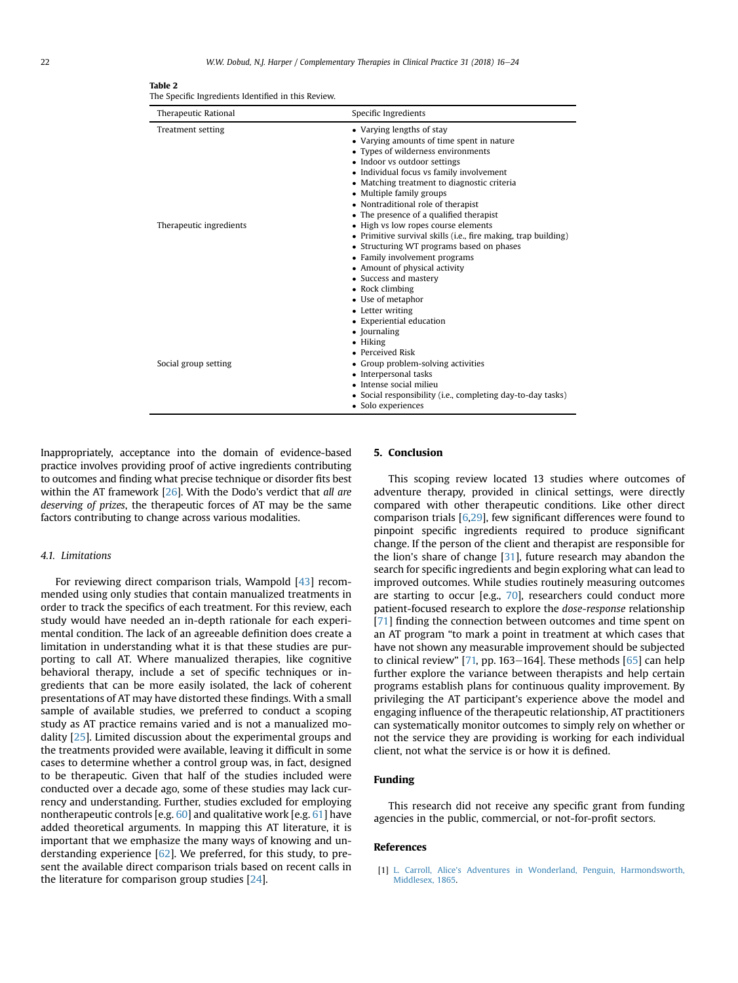<span id="page-6-0"></span>

| The Specific Ingredients Identified in this Review. |  |  |
|-----------------------------------------------------|--|--|
|-----------------------------------------------------|--|--|

| Therapeutic Rational                         | Specific Ingredients                                                                                                                                                                                                                                                                                                                                                                                                                                                                                                                                                                                                     |
|----------------------------------------------|--------------------------------------------------------------------------------------------------------------------------------------------------------------------------------------------------------------------------------------------------------------------------------------------------------------------------------------------------------------------------------------------------------------------------------------------------------------------------------------------------------------------------------------------------------------------------------------------------------------------------|
| Treatment setting<br>Therapeutic ingredients | • Varying lengths of stay<br>• Varying amounts of time spent in nature<br>• Types of wilderness environments<br>• Indoor vs outdoor settings<br>• Individual focus vs family involvement<br>• Matching treatment to diagnostic criteria<br>• Multiple family groups<br>• Nontraditional role of therapist<br>• The presence of a qualified therapist<br>• High vs low ropes course elements<br>• Primitive survival skills (i.e., fire making, trap building)<br>• Structuring WT programs based on phases<br>• Family involvement programs<br>• Amount of physical activity<br>• Success and mastery<br>• Rock climbing |
| Social group setting                         | • Use of metaphor<br>• Letter writing<br>• Experiential education<br>• Journaling<br>$\bullet$ Hiking<br>• Perceived Risk<br>• Group problem-solving activities<br>• Interpersonal tasks<br>• Intense social milieu<br>• Social responsibility (i.e., completing day-to-day tasks)<br>• Solo experiences                                                                                                                                                                                                                                                                                                                 |

Inappropriately, acceptance into the domain of evidence-based practice involves providing proof of active ingredients contributing to outcomes and finding what precise technique or disorder fits best within the AT framework [[26](#page-7-0)]. With the Dodo's verdict that all are deserving of prizes, the therapeutic forces of AT may be the same factors contributing to change across various modalities.

#### 4.1. Limitations

For reviewing direct comparison trials, Wampold [\[43\]](#page-7-0) recommended using only studies that contain manualized treatments in order to track the specifics of each treatment. For this review, each study would have needed an in-depth rationale for each experimental condition. The lack of an agreeable definition does create a limitation in understanding what it is that these studies are purporting to call AT. Where manualized therapies, like cognitive behavioral therapy, include a set of specific techniques or ingredients that can be more easily isolated, the lack of coherent presentations of AT may have distorted these findings. With a small sample of available studies, we preferred to conduct a scoping study as AT practice remains varied and is not a manualized modality [[25](#page-7-0)]. Limited discussion about the experimental groups and the treatments provided were available, leaving it difficult in some cases to determine whether a control group was, in fact, designed to be therapeutic. Given that half of the studies included were conducted over a decade ago, some of these studies may lack currency and understanding. Further, studies excluded for employing nontherapeutic controls [e.g. [60\]](#page-7-0) and qualitative work [e.g. [61](#page-7-0)] have added theoretical arguments. In mapping this AT literature, it is important that we emphasize the many ways of knowing and understanding experience  $[62]$ . We preferred, for this study, to present the available direct comparison trials based on recent calls in the literature for comparison group studies [\[24](#page-7-0)].

## 5. Conclusion

This scoping review located 13 studies where outcomes of adventure therapy, provided in clinical settings, were directly compared with other therapeutic conditions. Like other direct comparison trials [\[6](#page-7-0),[29](#page-7-0)], few significant differences were found to pinpoint specific ingredients required to produce significant change. If the person of the client and therapist are responsible for the lion's share of change  $[31]$  $[31]$ , future research may abandon the search for specific ingredients and begin exploring what can lead to improved outcomes. While studies routinely measuring outcomes are starting to occur [e.g., [70\]](#page-8-0), researchers could conduct more patient-focused research to explore the dose-response relationship [[71\]](#page-8-0) finding the connection between outcomes and time spent on an AT program "to mark a point in treatment at which cases that have not shown any measurable improvement should be subjected to clinical review"  $[71, pp. 163-164]$  $[71, pp. 163-164]$  $[71, pp. 163-164]$ . These methods  $[65]$  $[65]$  $[65]$  can help further explore the variance between therapists and help certain programs establish plans for continuous quality improvement. By privileging the AT participant's experience above the model and engaging influence of the therapeutic relationship, AT practitioners can systematically monitor outcomes to simply rely on whether or not the service they are providing is working for each individual client, not what the service is or how it is defined.

## Funding

This research did not receive any specific grant from funding agencies in the public, commercial, or not-for-profit sectors.

### References

[1] [L. Carroll, Alice's Adventures in Wonderland, Penguin, Harmondsworth,](http://refhub.elsevier.com/S1744-3881(17)30486-3/sref1) [Middlesex, 1865.](http://refhub.elsevier.com/S1744-3881(17)30486-3/sref1)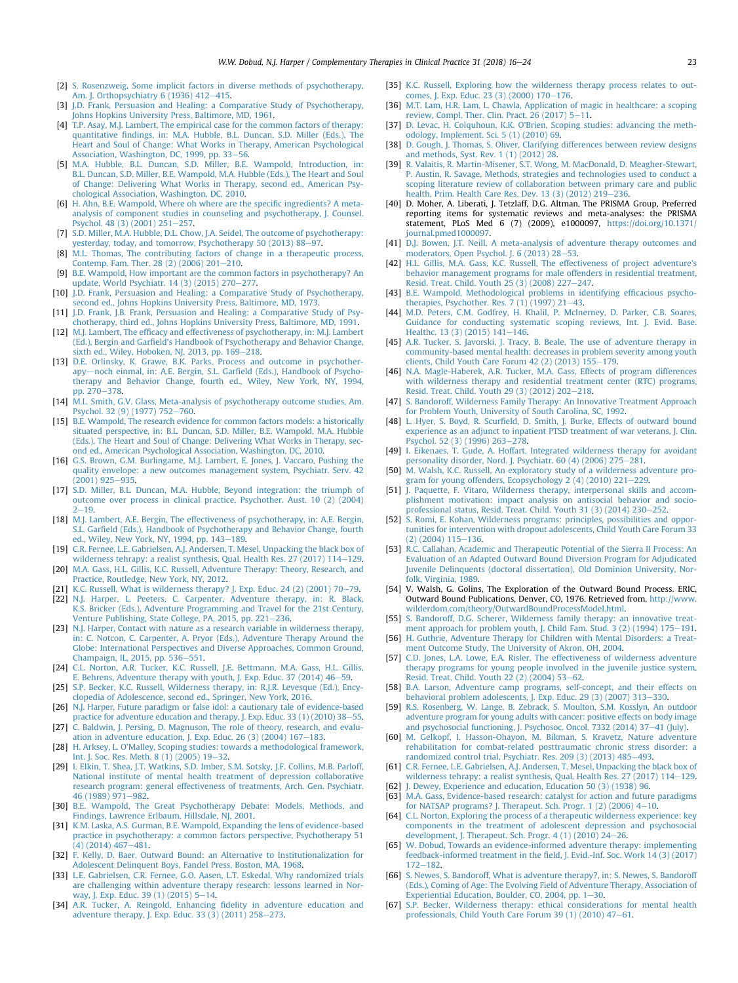- <span id="page-7-0"></span>[2] [S. Rosenzweig, Some implicit factors in diverse methods of psychotherapy,](http://refhub.elsevier.com/S1744-3881(17)30486-3/sref2) Am. J. Orthopsychiatry  $6(1936)$  412-[415.](http://refhub.elsevier.com/S1744-3881(17)30486-3/sref2)
- [3] [J.D. Frank, Persuasion and Healing: a Comparative Study of Psychotherapy,](http://refhub.elsevier.com/S1744-3881(17)30486-3/sref3) [Johns Hopkins University Press, Baltimore, MD, 1961](http://refhub.elsevier.com/S1744-3881(17)30486-3/sref3).
- [4] [T.P. Asay, M.J. Lambert, The empirical case for the common factors of therapy:](http://refhub.elsevier.com/S1744-3881(17)30486-3/sref4) quantitative fi[ndings, in: M.A. Hubble, B.L. Duncan, S.D. Miller \(Eds.\), The](http://refhub.elsevier.com/S1744-3881(17)30486-3/sref4) [Heart and Soul of Change: What Works in Therapy, American Psychological](http://refhub.elsevier.com/S1744-3881(17)30486-3/sref4) [Association, Washington, DC, 1999, pp. 33](http://refhub.elsevier.com/S1744-3881(17)30486-3/sref4)-[56](http://refhub.elsevier.com/S1744-3881(17)30486-3/sref4).
- [5] [M.A. Hubble, B.L. Duncan, S.D. Miller, B.E. Wampold, Introduction, in:](http://refhub.elsevier.com/S1744-3881(17)30486-3/sref5) [B.L. Duncan, S.D. Miller, B.E. Wampold, M.A. Hubble \(Eds.\), The Heart and Soul](http://refhub.elsevier.com/S1744-3881(17)30486-3/sref5) [of Change: Delivering What Works in Therapy, second ed., American Psy-](http://refhub.elsevier.com/S1744-3881(17)30486-3/sref5)[chological Association, Washington, DC, 2010](http://refhub.elsevier.com/S1744-3881(17)30486-3/sref5).
- [6] [H. Ahn, B.E. Wampold, Where oh where are the speci](http://refhub.elsevier.com/S1744-3881(17)30486-3/sref6)fic ingredients? A meta[analysis of component studies in counseling and psychotherapy, J. Counsel.](http://refhub.elsevier.com/S1744-3881(17)30486-3/sref6) Psychol.  $48$  (3) (2001) 251-[257.](http://refhub.elsevier.com/S1744-3881(17)30486-3/sref6)
- [7] [S.D. Miller, M.A. Hubble, D.L. Chow, J.A. Seidel, The outcome of psychotherapy:](http://refhub.elsevier.com/S1744-3881(17)30486-3/sref7)  $v$ esterday, today, and tomorrow, Psychotherapy 50 (2013) 88-[97](http://refhub.elsevier.com/S1744-3881(17)30486-3/sref7).
- [8] [M.L. Thomas, The contributing factors of change in a therapeutic process,](http://refhub.elsevier.com/S1744-3881(17)30486-3/sref8) [Contemp. Fam. Ther. 28 \(2\) \(2006\) 201](http://refhub.elsevier.com/S1744-3881(17)30486-3/sref8)-[210](http://refhub.elsevier.com/S1744-3881(17)30486-3/sref8).
- [9] [B.E. Wampold, How important are the common factors in psychotherapy? An](http://refhub.elsevier.com/S1744-3881(17)30486-3/sref9) [update, World Psychiatr. 14 \(3\) \(2015\) 270](http://refhub.elsevier.com/S1744-3881(17)30486-3/sref9)-[277.](http://refhub.elsevier.com/S1744-3881(17)30486-3/sref9)
- [10] [J.D. Frank, Persuasion and Healing: a Comparative Study of Psychotherapy,](http://refhub.elsevier.com/S1744-3881(17)30486-3/sref10) [second ed., Johns Hopkins University Press, Baltimore, MD, 1973.](http://refhub.elsevier.com/S1744-3881(17)30486-3/sref10)
- [11] [J.D. Frank, J.B. Frank, Persuasion and Healing: a Comparative Study of Psy](http://refhub.elsevier.com/S1744-3881(17)30486-3/sref11)[chotherapy, third ed., Johns Hopkins University Press, Baltimore, MD, 1991.](http://refhub.elsevier.com/S1744-3881(17)30486-3/sref11)
- [12] M.J. Lambert, The effi[cacy and effectiveness of psychotherapy, in: M.J. Lambert](http://refhub.elsevier.com/S1744-3881(17)30486-3/sref12) (Ed.), Bergin and Garfi[eld's Handbook of Psychotherapy and Behavior Change,](http://refhub.elsevier.com/S1744-3881(17)30486-3/sref12) sixth ed., Wiley, Hoboken, NI, 2013, pp.  $169-218$ .
- [13] [D.E. Orlinsky, K. Grawe, B.K. Parks, Process and outcome in psychother](http://refhub.elsevier.com/S1744-3881(17)30486-3/sref13)[apy](http://refhub.elsevier.com/S1744-3881(17)30486-3/sref13)-[noch einmal, in: A.E. Bergin, S.L. Gar](http://refhub.elsevier.com/S1744-3881(17)30486-3/sref13)field (Eds.), Handbook of Psycho[therapy and Behavior Change, fourth ed., Wiley, New York, NY, 1994,](http://refhub.elsevier.com/S1744-3881(17)30486-3/sref13) [pp. 270](http://refhub.elsevier.com/S1744-3881(17)30486-3/sref13)–[378](http://refhub.elsevier.com/S1744-3881(17)30486-3/sref13).
- [14] [M.L. Smith, G.V. Glass, Meta-analysis of psychotherapy outcome studies, Am.](http://refhub.elsevier.com/S1744-3881(17)30486-3/sref14) [Psychol. 32 \(9\) \(1977\) 752](http://refhub.elsevier.com/S1744-3881(17)30486-3/sref14)-[760](http://refhub.elsevier.com/S1744-3881(17)30486-3/sref14).
- [15] [B.E. Wampold, The research evidence for common factors models: a historically](http://refhub.elsevier.com/S1744-3881(17)30486-3/sref15) [situated perspective, in: B.L. Duncan, S.D. Miller, B.E. Wampold, M.A. Hubble](http://refhub.elsevier.com/S1744-3881(17)30486-3/sref15) [\(Eds.\), The Heart and Soul of Change: Delivering What Works in Therapy, sec](http://refhub.elsevier.com/S1744-3881(17)30486-3/sref15)[ond ed., American Psychological Association, Washington, DC, 2010](http://refhub.elsevier.com/S1744-3881(17)30486-3/sref15).
- [16] [G.S. Brown, G.M. Burlingame, M.J. Lambert, E. Jones, J. Vaccaro, Pushing the](http://refhub.elsevier.com/S1744-3881(17)30486-3/sref16) [quality envelope: a new outcomes management system, Psychiatr. Serv. 42](http://refhub.elsevier.com/S1744-3881(17)30486-3/sref16)  $(2001)$  925 $-935$ .
- [17] [S.D. Miller, B.L. Duncan, M.A. Hubble, Beyond integration: the triumph of](http://refhub.elsevier.com/S1744-3881(17)30486-3/sref17) [outcome over process in clinical practice, Psychother. Aust. 10 \(2\) \(2004\)](http://refhub.elsevier.com/S1744-3881(17)30486-3/sref17)  $-19$  $-19$
- [18] [M.J. Lambert, A.E. Bergin, The effectiveness of psychotherapy, in: A.E. Bergin,](http://refhub.elsevier.com/S1744-3881(17)30486-3/sref18) S.L. Garfi[eld \(Eds.\), Handbook of Psychotherapy and Behavior Change, fourth](http://refhub.elsevier.com/S1744-3881(17)30486-3/sref18) [ed., Wiley, New York, NY, 1994, pp. 143](http://refhub.elsevier.com/S1744-3881(17)30486-3/sref18)-[189.](http://refhub.elsevier.com/S1744-3881(17)30486-3/sref18)
- [19] [C.R. Fernee, L.E. Gabrielsen, A.J. Andersen, T. Mesel, Unpacking the black box of](http://refhub.elsevier.com/S1744-3881(17)30486-3/sref19) [wilderness tehrapy: a realist synthesis, Qual. Health Res. 27 \(2017\) 114](http://refhub.elsevier.com/S1744-3881(17)30486-3/sref19)–[129](http://refhub.elsevier.com/S1744-3881(17)30486-3/sref19).
- [20] [M.A. Gass, H.L. Gillis, K.C. Russell, Adventure Therapy: Theory, Research, and](http://refhub.elsevier.com/S1744-3881(17)30486-3/sref20) [Practice, Routledge, New York, NY, 2012](http://refhub.elsevier.com/S1744-3881(17)30486-3/sref20).
- [K.C. Russell, What is wilderness therapy? J. Exp. Educ. 24 \(2\) \(2001\) 70](http://refhub.elsevier.com/S1744-3881(17)30486-3/sref21)-[79.](http://refhub.elsevier.com/S1744-3881(17)30486-3/sref21) [22] [N.J. Harper, L. Peeters, C. Carpenter, Adventure therapy, in: R. Black,](http://refhub.elsevier.com/S1744-3881(17)30486-3/sref22)
- [K.S. Bricker \(Eds.\), Adventure Programming and Travel for the 21st Century,](http://refhub.elsevier.com/S1744-3881(17)30486-3/sref22) [Venture Publishing, State College, PA, 2015, pp. 221](http://refhub.elsevier.com/S1744-3881(17)30486-3/sref22)-[236.](http://refhub.elsevier.com/S1744-3881(17)30486-3/sref22)
- [23] [N.J. Harper, Contact with nature as a research variable in wilderness therapy,](http://refhub.elsevier.com/S1744-3881(17)30486-3/sref23) [in: C. Notcon, C. Carpenter, A. Pryor \(Eds.\), Adventure Therapy Around the](http://refhub.elsevier.com/S1744-3881(17)30486-3/sref23) [Globe: International Perspectives and Diverse Approaches, Common Ground,](http://refhub.elsevier.com/S1744-3881(17)30486-3/sref23) [Champaign, IL, 2015, pp. 536](http://refhub.elsevier.com/S1744-3881(17)30486-3/sref23)-[551](http://refhub.elsevier.com/S1744-3881(17)30486-3/sref23).
- [24] [C.L. Norton, A.R. Tucker, K.C. Russell, J.E. Bettmann, M.A. Gass, H.L. Gillis,](http://refhub.elsevier.com/S1744-3881(17)30486-3/sref24) [E. Behrens, Adventure therapy with youth, J. Exp. Educ. 37 \(2014\) 46](http://refhub.elsevier.com/S1744-3881(17)30486-3/sref24)-[59](http://refhub.elsevier.com/S1744-3881(17)30486-3/sref24).
- [25] [S.P. Becker, K.C. Russell, Wilderness therapy, in: R.J.R. Levesque \(Ed.\), Ency](http://refhub.elsevier.com/S1744-3881(17)30486-3/sref25)[clopedia of Adolescence, second ed., Springer, New York, 2016](http://refhub.elsevier.com/S1744-3881(17)30486-3/sref25).
- [26] [N.J. Harper, Future paradigm or false idol: a cautionary tale of evidence-based](http://refhub.elsevier.com/S1744-3881(17)30486-3/sref26) [practice for adventure education and therapy, J. Exp. Educ. 33 \(1\) \(2010\) 38](http://refhub.elsevier.com/S1744-3881(17)30486-3/sref26)-[55](http://refhub.elsevier.com/S1744-3881(17)30486-3/sref26).
- [27] [C. Baldwin, J. Persing, D. Magnuson, The role of theory, research, and evalu](http://refhub.elsevier.com/S1744-3881(17)30486-3/sref27)ation in adventure education, J. Exp. Educ. 26 (3)  $(2004)$  167-[183](http://refhub.elsevier.com/S1744-3881(17)30486-3/sref27).
- [28] [H. Arksey, L. O'Malley, Scoping studies: towards a methodological framework,](http://refhub.elsevier.com/S1744-3881(17)30486-3/sref28) Int. J. Soc. Res. Meth.  $8(1)(2005)$  19-[32.](http://refhub.elsevier.com/S1744-3881(17)30486-3/sref28)
- [29] [I. Elkin, T. Shea, J.T. Watkins, S.D. Imber, S.M. Sotsky, J.F. Collins, M.B. Parloff,](http://refhub.elsevier.com/S1744-3881(17)30486-3/sref29) [National institute of mental health treatment of depression collaborative](http://refhub.elsevier.com/S1744-3881(17)30486-3/sref29) [research program: general effectiveness of treatments, Arch. Gen. Psychiatr.](http://refhub.elsevier.com/S1744-3881(17)30486-3/sref29) [46 \(1989\) 971](http://refhub.elsevier.com/S1744-3881(17)30486-3/sref29)-[982.](http://refhub.elsevier.com/S1744-3881(17)30486-3/sref29)
- [30] [B.E. Wampold, The Great Psychotherapy Debate: Models, Methods, and](http://refhub.elsevier.com/S1744-3881(17)30486-3/sref30) [Findings, Lawrence Erlbaum, Hillsdale, NJ, 2001](http://refhub.elsevier.com/S1744-3881(17)30486-3/sref30).
- [31] [K.M. Laska, A.S. Gurman, B.E. Wampold, Expanding the lens of evidence-based](http://refhub.elsevier.com/S1744-3881(17)30486-3/sref31) [practice in psychotherapy: a common factors perspective, Psychotherapy 51](http://refhub.elsevier.com/S1744-3881(17)30486-3/sref31)  $4)$  (2014)  $\overline{467} - 481$ .
- [32] [F. Kelly, D. Baer, Outward Bound: an Alternative to Institutionalization for](http://refhub.elsevier.com/S1744-3881(17)30486-3/sref32) [Adolescent Delinquent Boys, Fandel Press, Boston, MA, 1968.](http://refhub.elsevier.com/S1744-3881(17)30486-3/sref32)
- [33] [L.E. Gabrielsen, C.R. Fernee, G.O. Aasen, L.T. Eskedal, Why randomized trials](http://refhub.elsevier.com/S1744-3881(17)30486-3/sref33) [are challenging within adventure therapy research: lessons learned in Nor](http://refhub.elsevier.com/S1744-3881(17)30486-3/sref33)[way, J. Exp. Educ. 39 \(1\) \(2015\) 5](http://refhub.elsevier.com/S1744-3881(17)30486-3/sref33)-[14.](http://refhub.elsevier.com/S1744-3881(17)30486-3/sref33)
- [34] [A.R. Tucker, A. Reingold, Enhancing](http://refhub.elsevier.com/S1744-3881(17)30486-3/sref34) fidelity in adventure education and [adventure therapy, J. Exp. Educ. 33 \(3\) \(2011\) 258](http://refhub.elsevier.com/S1744-3881(17)30486-3/sref34)-[273.](http://refhub.elsevier.com/S1744-3881(17)30486-3/sref34)
- [35] [K.C. Russell, Exploring how the wilderness therapy process relates to out](http://refhub.elsevier.com/S1744-3881(17)30486-3/sref35)comes, J. Exp. Educ.  $23$  (3) (2000)  $170-176$ .
- [36] [M.T. Lam, H.R. Lam, L. Chawla, Application of magic in healthcare: a scoping](http://refhub.elsevier.com/S1744-3881(17)30486-3/sref36) review, Compl. Ther. Clin. Pract.  $26$  (2017) 5-[11](http://refhub.elsevier.com/S1744-3881(17)30486-3/sref36).
- [37] [D. Levac, H. Colquhoun, K.K. O'Brien, Scoping studies: advancing the meth](http://refhub.elsevier.com/S1744-3881(17)30486-3/sref37)[odology, Implement. Sci. 5 \(1\) \(2010\) 69.](http://refhub.elsevier.com/S1744-3881(17)30486-3/sref37)
- [38] [D. Gough, J. Thomas, S. Oliver, Clarifying differences between review designs](http://refhub.elsevier.com/S1744-3881(17)30486-3/sref38) [and methods, Syst. Rev. 1 \(1\) \(2012\) 28](http://refhub.elsevier.com/S1744-3881(17)30486-3/sref38).
- [39] [R. Valaitis, R. Martin-Misener, S.T. Wong, M. MacDonald, D. Meagher-Stewart,](http://refhub.elsevier.com/S1744-3881(17)30486-3/sref39) [P. Austin, R. Savage, Methods, strategies and technologies used to conduct a](http://refhub.elsevier.com/S1744-3881(17)30486-3/sref39) [scoping literature review of collaboration between primary care and public](http://refhub.elsevier.com/S1744-3881(17)30486-3/sref39) [health, Prim. Health Care Res. Dev. 13 \(3\) \(2012\) 219](http://refhub.elsevier.com/S1744-3881(17)30486-3/sref39)-[236](http://refhub.elsevier.com/S1744-3881(17)30486-3/sref39).
- [40] D. Moher, A. Liberati, J. Tetzlaff, D.G. Altman, The PRISMA Group, Preferred reporting items for systematic reviews and meta-analyses: the PRISMA statement, PLoS Med 6 (7) (2009), e1000097, [https://doi.org/10.1371/](https://doi.org/10.1371/journal.pmed1000097) [journal.pmed1000097.](https://doi.org/10.1371/journal.pmed1000097)
- [41] [D.J. Bowen, J.T. Neill, A meta-analysis of adventure therapy outcomes and](http://refhub.elsevier.com/S1744-3881(17)30486-3/sref41) moderators, Open Psychol. J.  $6(2013)$   $28-53$ .
- [42] [H.L. Gillis, M.A. Gass, K.C. Russell, The effectiveness of project adventure's](http://refhub.elsevier.com/S1744-3881(17)30486-3/sref42) [behavior management programs for male offenders in residential treatment,](http://refhub.elsevier.com/S1744-3881(17)30486-3/sref42) [Resid. Treat. Child. Youth 25 \(3\) \(2008\) 227](http://refhub.elsevier.com/S1744-3881(17)30486-3/sref42)-[247.](http://refhub.elsevier.com/S1744-3881(17)30486-3/sref42)
- [43] [B.E. Wampold, Methodological problems in identifying ef](http://refhub.elsevier.com/S1744-3881(17)30486-3/sref43)ficacious psychotherapies, Psychother. Res.  $7(1)(1997)$  21-[43](http://refhub.elsevier.com/S1744-3881(17)30486-3/sref43).
- [44] [M.D. Peters, C.M. Godfrey, H. Khalil, P. McInerney, D. Parker, C.B. Soares,](http://refhub.elsevier.com/S1744-3881(17)30486-3/sref44) [Guidance for conducting systematic scoping reviews, Int. J. Evid. Base.](http://refhub.elsevier.com/S1744-3881(17)30486-3/sref44)<br>[Healthc. 13 \(3\) \(2015\) 141](http://refhub.elsevier.com/S1744-3881(17)30486-3/sref44)–[146](http://refhub.elsevier.com/S1744-3881(17)30486-3/sref44).
- [45] [A.R. Tucker, S. Javorski, J. Tracy, B. Beale, The use of adventure therapy in](http://refhub.elsevier.com/S1744-3881(17)30486-3/sref45) [community-based mental health: decreases in problem severity among youth](http://refhub.elsevier.com/S1744-3881(17)30486-3/sref45) clients, Child Youth Care Forum  $42$  (2) (2013) 155-[179.](http://refhub.elsevier.com/S1744-3881(17)30486-3/sref45)
- [46] [N.A. Magle-Haberek, A.R. Tucker, M.A. Gass, Effects of program differences](http://refhub.elsevier.com/S1744-3881(17)30486-3/sref46) [with wilderness therapy and residential treatment center \(RTC\) programs,](http://refhub.elsevier.com/S1744-3881(17)30486-3/sref46) [Resid. Treat. Child. Youth 29 \(3\) \(2012\) 202](http://refhub.elsevier.com/S1744-3881(17)30486-3/sref46)-[218.](http://refhub.elsevier.com/S1744-3881(17)30486-3/sref46)
- [47] [S. Bandoroff, Wilderness Family Therapy: An Innovative Treatment Approach](http://refhub.elsevier.com/S1744-3881(17)30486-3/sref47) [for Problem Youth, University of South Carolina, SC, 1992](http://refhub.elsevier.com/S1744-3881(17)30486-3/sref47).
- [48] L. Hyer, S. Boyd, R. Scurfi[eld, D. Smith, J. Burke, Effects of outward bound](http://refhub.elsevier.com/S1744-3881(17)30486-3/sref48) [experience as an adjunct to inpatient PTSD treatment of war veterans, J. Clin.](http://refhub.elsevier.com/S1744-3881(17)30486-3/sref48) [Psychol. 52 \(3\) \(1996\) 263](http://refhub.elsevier.com/S1744-3881(17)30486-3/sref48)-[278](http://refhub.elsevier.com/S1744-3881(17)30486-3/sref48).
- [49] [I. Eikenaes, T. Gude, A. Hoffart, Integrated wilderness therapy for avoidant](http://refhub.elsevier.com/S1744-3881(17)30486-3/sref49) [personality disorder, Nord. J. Psychiatr. 60 \(4\) \(2006\) 275](http://refhub.elsevier.com/S1744-3881(17)30486-3/sref49)–[281.](http://refhub.elsevier.com/S1744-3881(17)30486-3/sref49)
- [50] [M. Walsh, K.C. Russell, An exploratory study of a wilderness adventure pro](http://refhub.elsevier.com/S1744-3881(17)30486-3/sref50)[gram for young offenders, Ecopsychology 2 \(4\) \(2010\) 221](http://refhub.elsevier.com/S1744-3881(17)30486-3/sref50)-[229](http://refhub.elsevier.com/S1744-3881(17)30486-3/sref50).
- [51] [J. Paquette, F. Vitaro, Wilderness therapy, interpersonal skills and accom](http://refhub.elsevier.com/S1744-3881(17)30486-3/sref51)[plishment motivation: impact analysis on antisocial behavior and socio](http://refhub.elsevier.com/S1744-3881(17)30486-3/sref51)[professional status, Resid. Treat. Child. Youth 31 \(3\) \(2014\) 230](http://refhub.elsevier.com/S1744-3881(17)30486-3/sref51)-[252](http://refhub.elsevier.com/S1744-3881(17)30486-3/sref51).
- [52] [S. Romi, E. Kohan, Wilderness programs: principles, possibilities and oppor](http://refhub.elsevier.com/S1744-3881(17)30486-3/sref52)[tunities for intervention with dropout adolescents, Child Youth Care Forum 33](http://refhub.elsevier.com/S1744-3881(17)30486-3/sref52)  $(2)$  (2004) 115-[136.](http://refhub.elsevier.com/S1744-3881(17)30486-3/sref52)
- [53] [R.C. Callahan, Academic and Therapeutic Potential of the Sierra II Process: An](http://refhub.elsevier.com/S1744-3881(17)30486-3/sref53) [Evaluation of an Adapted Outward Bound Diversion Program for Adjudicated](http://refhub.elsevier.com/S1744-3881(17)30486-3/sref53) [Juvenile Delinquents \(doctoral dissertation\), Old Dominion University, Nor](http://refhub.elsevier.com/S1744-3881(17)30486-3/sref53)[folk, Virginia, 1989.](http://refhub.elsevier.com/S1744-3881(17)30486-3/sref53)
- [54] V. Walsh, G. Golins, The Exploration of the Outward Bound Process. ERIC, Outward Bound Publications, Denver, CO, 1976. Retrieved from, [http://www.](http://www.wilderdom.com/theory/OutwardBoundProcessModel.html) [wilderdom.com/theory/OutwardBoundProcessModel.html.](http://www.wilderdom.com/theory/OutwardBoundProcessModel.html)
- [55] [S. Bandoroff, D.G. Scherer, Wilderness family therapy: an innovative treat](http://refhub.elsevier.com/S1744-3881(17)30486-3/sref55)ment approach for problem youth, J. Child Fam. Stud.  $3(2)(1994)$  175–[191.](http://refhub.elsevier.com/S1744-3881(17)30486-3/sref55)
- [56] [H. Guthrie, Adventure Therapy for Children with Mental Disorders: a Treat](http://refhub.elsevier.com/S1744-3881(17)30486-3/sref56)[ment Outcome Study, The University of Akron, OH, 2004](http://refhub.elsevier.com/S1744-3881(17)30486-3/sref56).
- [57] [C.D. Jones, L.A. Lowe, E.A. Risler, The effectiveness of wilderness adventure](http://refhub.elsevier.com/S1744-3881(17)30486-3/sref57) [therapy programs for young people involved in the juvenile justice system,](http://refhub.elsevier.com/S1744-3881(17)30486-3/sref57) Resid. Treat. Child. Youth  $22(2)(2004)$  53-[62.](http://refhub.elsevier.com/S1744-3881(17)30486-3/sref57)
- [58] [B.A. Larson, Adventure camp programs, self-concept, and their effects on](http://refhub.elsevier.com/S1744-3881(17)30486-3/sref58) [behavioral problem adolescents, J. Exp. Educ. 29 \(3\) \(2007\) 313](http://refhub.elsevier.com/S1744-3881(17)30486-3/sref58)-[330](http://refhub.elsevier.com/S1744-3881(17)30486-3/sref58).
- [59] [R.S. Rosenberg, W. Lange, B. Zebrack, S. Moulton, S.M. Kosslyn, An outdoor](http://refhub.elsevier.com/S1744-3881(17)30486-3/sref59) [adventure program for young adults with cancer: positive effects on body image](http://refhub.elsevier.com/S1744-3881(17)30486-3/sref59) [and psychosocial functioning, J. Psychosoc. Oncol. 7332 \(2014\) 37](http://refhub.elsevier.com/S1744-3881(17)30486-3/sref59)-[41 \(July\)](http://refhub.elsevier.com/S1744-3881(17)30486-3/sref59).
- [60] [M. Gelkopf, I. Hasson-Ohayon, M. Bikman, S. Kravetz, Nature adventure](http://refhub.elsevier.com/S1744-3881(17)30486-3/sref60) [rehabilitation for combat-related posttraumatic chronic stress disorder: a](http://refhub.elsevier.com/S1744-3881(17)30486-3/sref60) [randomized control trial, Psychiatr. Res. 209 \(3\) \(2013\) 485](http://refhub.elsevier.com/S1744-3881(17)30486-3/sref60)-[493](http://refhub.elsevier.com/S1744-3881(17)30486-3/sref60).
- [61] [C.R. Fernee, L.E. Gabrielsen, A.J. Andersen, T. Mesel, Unpacking the black box of](http://refhub.elsevier.com/S1744-3881(17)30486-3/sref61) [wilderness tehrapy: a realist synthesis, Qual. Health Res. 27 \(2017\) 114](http://refhub.elsevier.com/S1744-3881(17)30486-3/sref61)-[129](http://refhub.elsevier.com/S1744-3881(17)30486-3/sref61).
- [62] [J. Dewey, Experience and education, Education 50 \(3\) \(1938\) 96.](http://refhub.elsevier.com/S1744-3881(17)30486-3/sref62)
- [63] [M.A. Gass, Evidence-based research: catalyst for action and future paradigms](http://refhub.elsevier.com/S1744-3881(17)30486-3/sref63) for NATSAP programs? J. Therapeut. Sch. Progr.  $1$  (2) (2006)  $4-10$  $4-10$ .
- [64] [C.L. Norton, Exploring the process of a therapeutic wilderness experience: key](http://refhub.elsevier.com/S1744-3881(17)30486-3/sref64) [components in the treatment of adolescent depression and psychosocial](http://refhub.elsevier.com/S1744-3881(17)30486-3/sref64) development, J. Therapeut. Sch. Progr.  $4(1)(2010)$  24-[26.](http://refhub.elsevier.com/S1744-3881(17)30486-3/sref64)
- [65] [W. Dobud, Towards an evidence-informed adventure therapy: implementing](http://refhub.elsevier.com/S1744-3881(17)30486-3/sref65) feedback-informed treatment in the fi[eld, J. Evid.-Inf. Soc. Work 14 \(3\) \(2017\)](http://refhub.elsevier.com/S1744-3881(17)30486-3/sref65)  $172 - 182.$  $172 - 182.$  $172 - 182.$
- [66] [S. Newes, S. Bandoroff, What is adventure therapy?, in: S. Newes, S. Bandoroff](http://refhub.elsevier.com/S1744-3881(17)30486-3/sref66) [\(Eds.\), Coming of Age: The Evolving Field of Adventure Therapy, Association of](http://refhub.elsevier.com/S1744-3881(17)30486-3/sref66) Experiential Education, Boulder, CO, 2004, pp.  $1-30$ .
- [67] [S.P. Becker, Wilderness therapy: ethical considerations for mental health](http://refhub.elsevier.com/S1744-3881(17)30486-3/sref67) [professionals, Child Youth Care Forum 39 \(1\) \(2010\) 47](http://refhub.elsevier.com/S1744-3881(17)30486-3/sref67)-[61](http://refhub.elsevier.com/S1744-3881(17)30486-3/sref67).